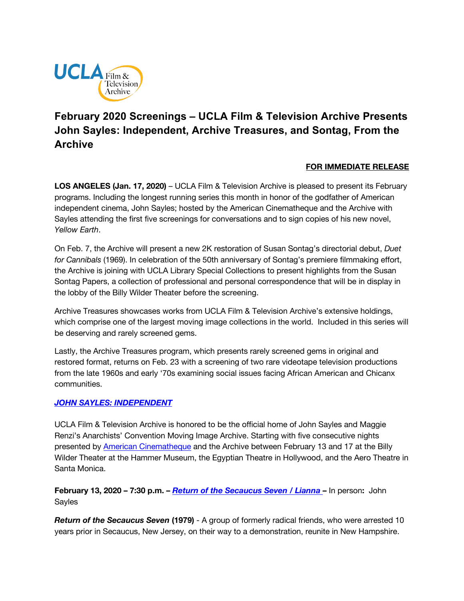

# **February 2020 Screenings – UCLA Film & Television Archive Presents John Sayles: Independent, Archive Treasures, and Sontag, From the Archive**

### **FOR IMMEDIATE RELEASE**

**LOS ANGELES (Jan. 17, 2020)** – UCLA Film & Television Archive is pleased to present its February programs. Including the longest running series this month in honor of the godfather of American independent cinema, John Sayles; hosted by the American Cinematheque and the Archive with Sayles attending the first five screenings for conversations and to sign copies of his new novel, *Yellow Earth*.

On Feb. 7, the Archive will present a new 2K restoration of Susan Sontag's directorial debut, *Duet for Cannibals* (1969). In celebration of the 50th anniversary of Sontag's premiere filmmaking effort, the Archive is joining with UCLA Library Special Collections to present highlights from the Susan Sontag Papers, a collection of professional and personal correspondence that will be in display in the lobby of the Billy Wilder Theater before the screening.

Archive Treasures showcases works from UCLA Film & Television Archive's extensive holdings, which comprise one of the largest moving image collections in the world. Included in this series will be deserving and rarely screened gems.

Lastly, the Archive Treasures program, which presents rarely screened gems in original and restored format, returns on Feb. 23 with a screening of two rare videotape television productions from the late 1960s and early '70s examining social issues facing African American and Chicanx communities.

### *[JOHN SAYLES: INDEPENDENT](https://www.cinema.ucla.edu/events/2020/john-sayles-independent)*

UCLA Film & Television Archive is honored to be the official home of John Sayles and Maggie Renzi's Anarchists' Convention Moving Image Archive. Starting with five consecutive nights presented by [American Cinematheque](http://americancinemathequecalendar.com/content/john-sayles-independent) and the Archive between February 13 and 17 at the Billy Wilder Theater at the Hammer Museum, the Egyptian Theatre in Hollywood, and the Aero Theatre in Santa Monica.

**February 13, 2020 – 7:30 p.m. –** *[Return of the Secaucus Seven](https://www.cinema.ucla.edu/events/2020/02/13/return-of-secaucus-seven-lianna) / Lianna* **–** In person**:** John Sayles

*Return of the Secaucus Seven* **(1979)** - A group of formerly radical friends, who were arrested 10 years prior in Secaucus, New Jersey, on their way to a demonstration, reunite in New Hampshire.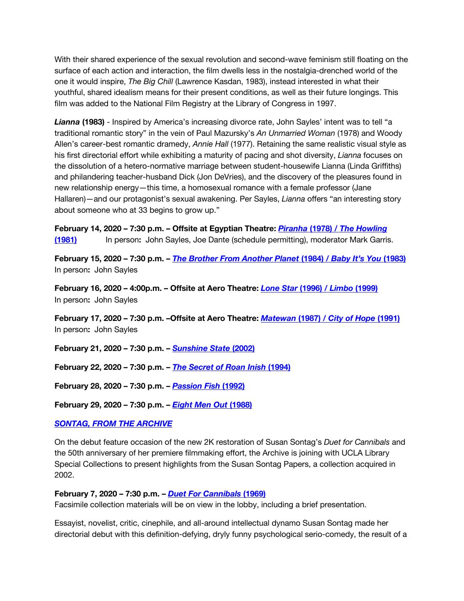With their shared experience of the sexual revolution and second-wave feminism still floating on the surface of each action and interaction, the film dwells less in the nostalgia-drenched world of the one it would inspire, *The Big Chill* (Lawrence Kasdan, 1983), instead interested in what their youthful, shared idealism means for their present conditions, as well as their future longings. This film was added to the National Film Registry at the Library of Congress in 1997.

*Lianna* **(1983)** - Inspired by America's increasing divorce rate, John Sayles' intent was to tell "a traditional romantic story" in the vein of Paul Mazursky's *An Unmarried Woman* (1978) and Woody Allen's career-best romantic dramedy, *Annie Hall* (1977). Retaining the same realistic visual style as his first directorial effort while exhibiting a maturity of pacing and shot diversity, *Lianna* focuses on the dissolution of a hetero-normative marriage between student-housewife Lianna (Linda Griffiths) and philandering teacher-husband Dick (Jon DeVries), and the discovery of the pleasures found in new relationship energy—this time, a homosexual romance with a female professor (Jane Hallaren)—and our protagonist's sexual awakening. Per Sayles, *Lianna* offers "an interesting story about someone who at 33 begins to grow up."

**February 14, 2020 – 7:30 p.m. – Offsite at Egyptian Theatre:** *Piranha* **(1978)** *[/ The Howling](http://americancinemathequecalendar.com/content/piranha-the-howling)*  **[\(1981\)](http://americancinemathequecalendar.com/content/piranha-the-howling)** In person**:** John Sayles, Joe Dante (schedule permitting), moderator Mark Garris.

**February 15, 2020 – 7:30 p.m. –** *[The Brother From Another Planet](https://www.cinema.ucla.edu/events/2020/02/15/brother-from-another-planet-baby-its-you)* **(1984)** */ Baby It's You* **(1983)**  In person**:** John Sayles

**February 16, 2020 – 4:00p.m. – Offsite at Aero Theatre:** *[Lone Star](http://americancinemathequecalendar.com/content/lone-star-limbo)* **(1996)** */ Limbo* **(1999)**  In person**:** John Sayles

**February 17, 2020 – 7:30 p.m. –Offsite at Aero Theatre:** *Matewan* **(1987)** *[/ City of Hope](http://americancinemathequecalendar.com/content/matewan-city-of-hope)* **(1991)**  In person**:** John Sayles

**February 21, 2020 – 7:30 p.m. –** *[Sunshine State](https://www.cinema.ucla.edu/events/2020/02/21/sunshine-state)* **(2002)** 

**February 22, 2020 – 7:30 p.m. –** *[The Secret of Roan Inish](https://www.cinema.ucla.edu/events/2020/02/22/secret-of-roan-inish)* **(1994)**

**February 28, 2020 – 7:30 p.m. –** *[Passion Fish](https://www.cinema.ucla.edu/events/2020/02/28/passion-fish)* **(1992)**

**February 29, 2020 – 7:30 p.m. –** *[Eight Men Out](https://www.cinema.ucla.edu/events/2020/02/29/eight-men-out)* **(1988)**

### *[SONTAG, FROM THE ARCHIVE](https://www.cinema.ucla.edu/events/2020/02/07/sontag-from-the-archive-duet-for-cannibals)*

On the debut feature occasion of the new 2K restoration of Susan Sontag's *Duet for Cannibals* and the 50th anniversary of her premiere filmmaking effort, the Archive is joining with UCLA Library Special Collections to present highlights from the Susan Sontag Papers, a collection acquired in 2002.

#### **February 7, 2020 – 7:30 p.m. –** *[Duet For Cannibals](https://www.cinema.ucla.edu/events/2020/02/07/sontag-from-the-archive-duet-for-cannibals)* **(1969)**

Facsimile collection materials will be on view in the lobby, including a brief presentation.

Essayist, novelist, critic, cinephile, and all-around intellectual dynamo Susan Sontag made her directorial debut with this definition-defying, dryly funny psychological serio-comedy, the result of a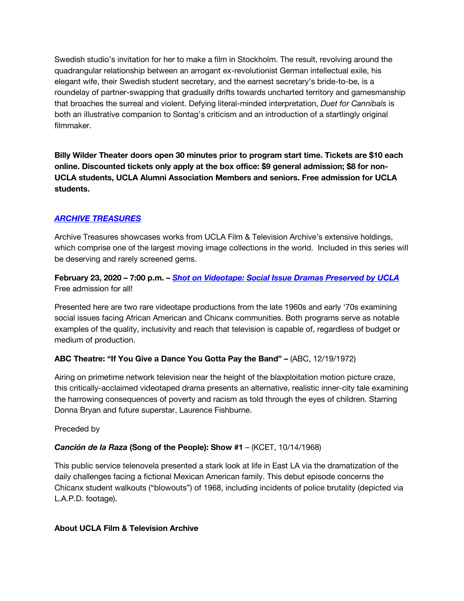Swedish studio's invitation for her to make a film in Stockholm. The result, revolving around the quadrangular relationship between an arrogant ex-revolutionist German intellectual exile, his elegant wife, their Swedish student secretary, and the earnest secretary's bride-to-be, is a roundelay of partner-swapping that gradually drifts towards uncharted territory and gamesmanship that broaches the surreal and violent. Defying literal-minded interpretation, *Duet for Cannibals* is both an illustrative companion to Sontag's criticism and an introduction of a startlingly original filmmaker.

**Billy Wilder Theater doors open 30 minutes prior to program start time. Tickets are \$10 each online. Discounted tickets only apply at the box office: \$9 general admission; \$8 for non-UCLA students, UCLA Alumni Association Members and seniors. Free admission for UCLA students.**

# *[ARCHIVE TREASURES](https://www.cinema.ucla.edu/events/archive-treasures)*

Archive Treasures showcases works from UCLA Film & Television Archive's extensive holdings, which comprise one of the largest moving image collections in the world. Included in this series will be deserving and rarely screened gems.

## **February 23, 2020 – 7:00 p.m. –** *[Shot on Videotape: Social Issue Dramas Preserved by UCLA](https://www.cinema.ucla.edu/events/2020/02/23/shot-on-videotape-social-issue-dramas-preserved-by-ucla)* Free admission for all!

Presented here are two rare videotape productions from the late 1960s and early '70s examining social issues facing African American and Chicanx communities. Both programs serve as notable examples of the quality, inclusivity and reach that television is capable of, regardless of budget or medium of production.

# **ABC Theatre: "If You Give a Dance You Gotta Pay the Band" –** (ABC, 12/19/1972)

Airing on primetime network television near the height of the blaxploitation motion picture craze, this critically-acclaimed videotaped drama presents an alternative, realistic inner-city tale examining the harrowing consequences of poverty and racism as told through the eyes of children. Starring Donna Bryan and future superstar, Laurence Fishburne.

Preceded by

# *Canción de la Raza* **(Song of the People): Show #1** – (KCET, 10/14/1968)

This public service telenovela presented a stark look at life in East LA via the dramatization of the daily challenges facing a fictional Mexican American family. This debut episode concerns the Chicanx student walkouts ("blowouts") of 1968, including incidents of police brutality (depicted via L.A.P.D. footage).

### **About UCLA Film & Television Archive**